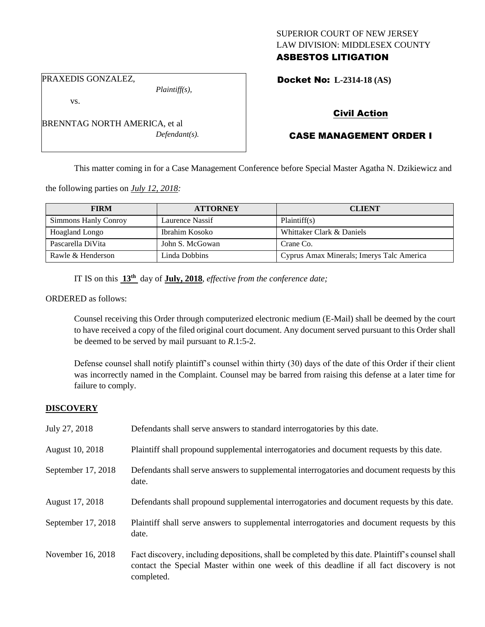# SUPERIOR COURT OF NEW JERSEY LAW DIVISION: MIDDLESEX COUNTY ASBESTOS LITIGATION

PRAXEDIS GONZALEZ,

vs.

BRENNTAG NORTH AMERICA, et al *Defendant(s).*

*Plaintiff(s),*

Docket No: **L-2314-18 (AS)** 

# Civil Action

# CASE MANAGEMENT ORDER I

This matter coming in for a Case Management Conference before Special Master Agatha N. Dzikiewicz and

the following parties on *July 12, 2018:*

| <b>FIRM</b>           | <b>ATTORNEY</b> | <b>CLIENT</b>                             |
|-----------------------|-----------------|-------------------------------------------|
| Simmons Hanly Conroy  | Laurence Nassif | Plaintiff(s)                              |
| <b>Hoagland Longo</b> | Ibrahim Kosoko  | Whittaker Clark & Daniels                 |
| Pascarella DiVita     | John S. McGowan | Crane Co.                                 |
| Rawle & Henderson     | Linda Dobbins   | Cyprus Amax Minerals; Imerys Talc America |

IT IS on this **13th** day of **July, 2018**, *effective from the conference date;*

ORDERED as follows:

Counsel receiving this Order through computerized electronic medium (E-Mail) shall be deemed by the court to have received a copy of the filed original court document. Any document served pursuant to this Order shall be deemed to be served by mail pursuant to *R*.1:5-2.

Defense counsel shall notify plaintiff's counsel within thirty (30) days of the date of this Order if their client was incorrectly named in the Complaint. Counsel may be barred from raising this defense at a later time for failure to comply.

# **DISCOVERY**

| July 27, 2018      | Defendants shall serve answers to standard interrogatories by this date.                                                                                                                                    |
|--------------------|-------------------------------------------------------------------------------------------------------------------------------------------------------------------------------------------------------------|
| August 10, 2018    | Plaintiff shall propound supplemental interrogatories and document requests by this date.                                                                                                                   |
| September 17, 2018 | Defendants shall serve answers to supplemental interrogatories and document requests by this<br>date.                                                                                                       |
| August 17, 2018    | Defendants shall propound supplemental interrogatories and document requests by this date.                                                                                                                  |
| September 17, 2018 | Plaintiff shall serve answers to supplemental interrogatories and document requests by this<br>date.                                                                                                        |
| November 16, 2018  | Fact discovery, including depositions, shall be completed by this date. Plaintiff's counsel shall<br>contact the Special Master within one week of this deadline if all fact discovery is not<br>completed. |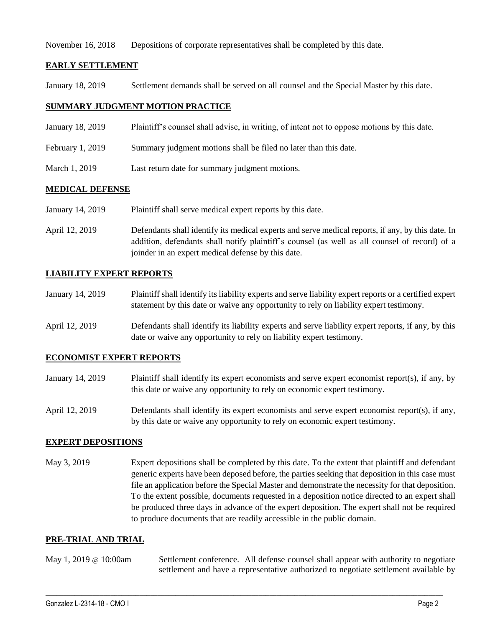November 16, 2018 Depositions of corporate representatives shall be completed by this date.

### **EARLY SETTLEMENT**

January 18, 2019 Settlement demands shall be served on all counsel and the Special Master by this date.

# **SUMMARY JUDGMENT MOTION PRACTICE**

- January 18, 2019 Plaintiff's counsel shall advise, in writing, of intent not to oppose motions by this date.
- February 1, 2019 Summary judgment motions shall be filed no later than this date.
- March 1, 2019 Last return date for summary judgment motions.

## **MEDICAL DEFENSE**

- January 14, 2019 Plaintiff shall serve medical expert reports by this date.
- April 12, 2019 Defendants shall identify its medical experts and serve medical reports, if any, by this date. In addition, defendants shall notify plaintiff's counsel (as well as all counsel of record) of a joinder in an expert medical defense by this date.

### **LIABILITY EXPERT REPORTS**

- January 14, 2019 Plaintiff shall identify its liability experts and serve liability expert reports or a certified expert statement by this date or waive any opportunity to rely on liability expert testimony.
- April 12, 2019 Defendants shall identify its liability experts and serve liability expert reports, if any, by this date or waive any opportunity to rely on liability expert testimony.

#### **ECONOMIST EXPERT REPORTS**

- January 14, 2019 Plaintiff shall identify its expert economists and serve expert economist report(s), if any, by this date or waive any opportunity to rely on economic expert testimony.
- April 12, 2019 Defendants shall identify its expert economists and serve expert economist report(s), if any, by this date or waive any opportunity to rely on economic expert testimony.

#### **EXPERT DEPOSITIONS**

May 3, 2019 Expert depositions shall be completed by this date. To the extent that plaintiff and defendant generic experts have been deposed before, the parties seeking that deposition in this case must file an application before the Special Master and demonstrate the necessity for that deposition. To the extent possible, documents requested in a deposition notice directed to an expert shall be produced three days in advance of the expert deposition. The expert shall not be required to produce documents that are readily accessible in the public domain.

#### **PRE-TRIAL AND TRIAL**

May 1, 2019 @ 10:00am Settlement conference. All defense counsel shall appear with authority to negotiate settlement and have a representative authorized to negotiate settlement available by

 $\_$  ,  $\_$  ,  $\_$  ,  $\_$  ,  $\_$  ,  $\_$  ,  $\_$  ,  $\_$  ,  $\_$  ,  $\_$  ,  $\_$  ,  $\_$  ,  $\_$  ,  $\_$  ,  $\_$  ,  $\_$  ,  $\_$  ,  $\_$  ,  $\_$  ,  $\_$  ,  $\_$  ,  $\_$  ,  $\_$  ,  $\_$  ,  $\_$  ,  $\_$  ,  $\_$  ,  $\_$  ,  $\_$  ,  $\_$  ,  $\_$  ,  $\_$  ,  $\_$  ,  $\_$  ,  $\_$  ,  $\_$  ,  $\_$  ,